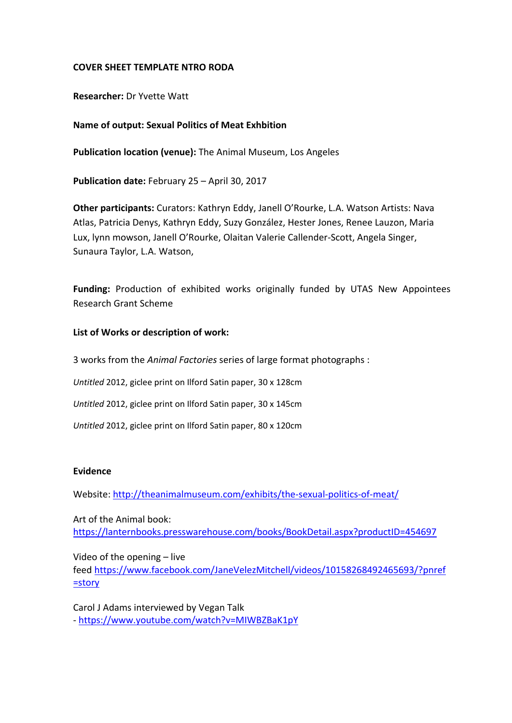## **COVER SHEET TEMPLATE NTRO RODA**

**Researcher:** Dr Yvette Watt

## **Name of output: Sexual Politics of Meat Exhbition**

**Publication location (venue):** The Animal Museum, Los Angeles

**Publication date:** February 25 – April 30, 2017

**Other participants:** Curators: Kathryn Eddy, Janell O'Rourke, L.A. Watson Artists: Nava Atlas, Patricia Denys, Kathryn Eddy, Suzy González, Hester Jones, Renee Lauzon, Maria Lux, lynn mowson, Janell O'Rourke, Olaitan Valerie Callender-Scott, Angela Singer, Sunaura Taylor, L.A. Watson,

**Funding:** Production of exhibited works originally funded by UTAS New Appointees Research Grant Scheme

## **List of Works or description of work:**

3 works from the *Animal Factories* series of large format photographs :

*Untitled* 2012, giclee print on Ilford Satin paper, 30 x 128cm

*Untitled* 2012, giclee print on Ilford Satin paper, 30 x 145cm

*Untitled* 2012, giclee print on Ilford Satin paper, 80 x 120cm

## **Evidence**

Website:<http://theanimalmuseum.com/exhibits/the-sexual-politics-of-meat/>

Art of the Animal book: <https://lanternbooks.presswarehouse.com/books/BookDetail.aspx?productID=454697>

Video of the opening – live feed [https://www.facebook.com/JaneVelezMitchell/videos/10158268492465693/?pnref](https://www.facebook.com/JaneVelezMitchell/videos/10158268492465693/?pnref=story) [=story](https://www.facebook.com/JaneVelezMitchell/videos/10158268492465693/?pnref=story)

Carol J Adams interviewed by Vegan Talk - <https://www.youtube.com/watch?v=MIWBZBaK1pY>